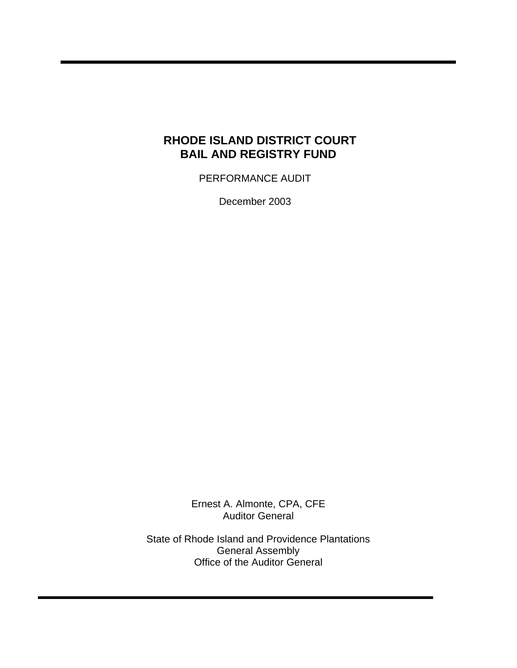# **RHODE ISLAND DISTRICT COURT BAIL AND REGISTRY FUND**

PERFORMANCE AUDIT

December 2003

Ernest A. Almonte, CPA, CFE Auditor General

State of Rhode Island and Providence Plantations General Assembly Office of the Auditor General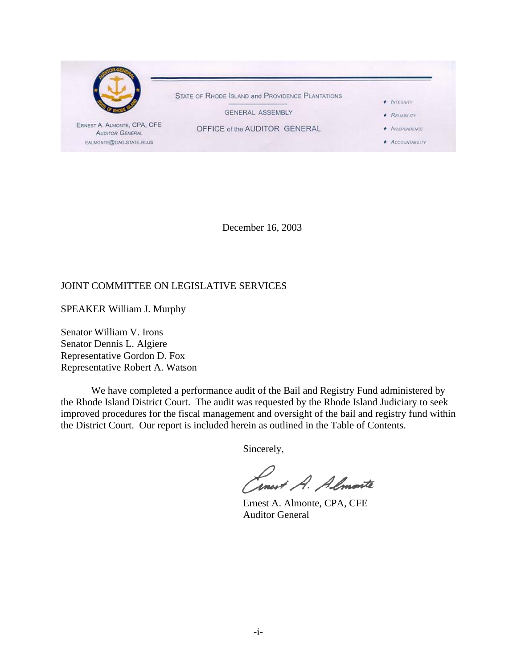

December 16, 2003

## JOINT COMMITTEE ON LEGISLATIVE SERVICES

SPEAKER William J. Murphy

Senator William V. Irons Senator Dennis L. Algiere Representative Gordon D. Fox Representative Robert A. Watson

We have completed a performance audit of the Bail and Registry Fund administered by the Rhode Island District Court. The audit was requested by the Rhode Island Judiciary to seek improved procedures for the fiscal management and oversight of the bail and registry fund within the District Court. Our report is included herein as outlined in the Table of Contents.

Sincerely,

Inest A. Almarte

 Ernest A. Almonte, CPA, CFE Auditor General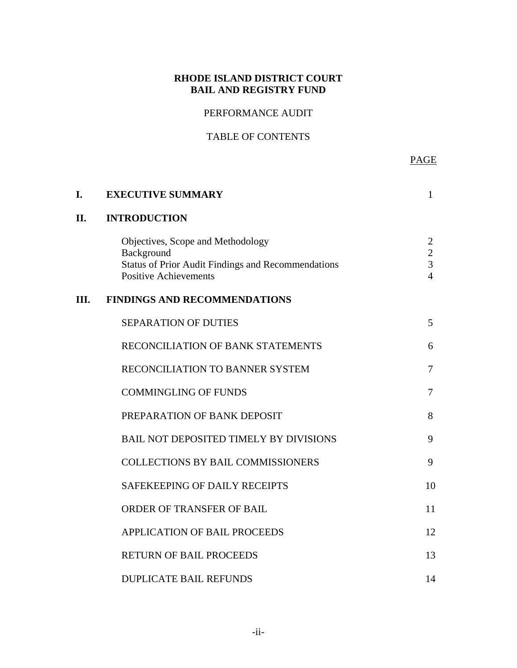# **RHODE ISLAND DISTRICT COURT BAIL AND REGISTRY FUND**

# PERFORMANCE AUDIT

# TABLE OF CONTENTS

PAGE AND RESERVE TO A RESERVE THE STATE OF THE STATE OF THE STATE OF THE STATE OF THE STATE OF THE STATE OF TH

| I. | <b>EXECUTIVE SUMMARY</b>                                                                                                                     | 1                                                       |
|----|----------------------------------------------------------------------------------------------------------------------------------------------|---------------------------------------------------------|
| П. | <b>INTRODUCTION</b>                                                                                                                          |                                                         |
|    | Objectives, Scope and Methodology<br>Background<br><b>Status of Prior Audit Findings and Recommendations</b><br><b>Positive Achievements</b> | 2<br>$\overline{c}$<br>$\overline{3}$<br>$\overline{4}$ |
| Ш. | <b>FINDINGS AND RECOMMENDATIONS</b>                                                                                                          |                                                         |
|    | <b>SEPARATION OF DUTIES</b>                                                                                                                  | 5                                                       |
|    | RECONCILIATION OF BANK STATEMENTS                                                                                                            | 6                                                       |
|    | RECONCILIATION TO BANNER SYSTEM                                                                                                              | 7                                                       |
|    | <b>COMMINGLING OF FUNDS</b>                                                                                                                  | 7                                                       |
|    | PREPARATION OF BANK DEPOSIT                                                                                                                  | 8                                                       |
|    | <b>BAIL NOT DEPOSITED TIMELY BY DIVISIONS</b>                                                                                                | 9                                                       |
|    | <b>COLLECTIONS BY BAIL COMMISSIONERS</b>                                                                                                     | 9                                                       |
|    | SAFEKEEPING OF DAILY RECEIPTS                                                                                                                | 10                                                      |
|    | ORDER OF TRANSFER OF BAIL                                                                                                                    | 11                                                      |
|    | <b>APPLICATION OF BAIL PROCEEDS</b>                                                                                                          | 12                                                      |
|    | <b>RETURN OF BAIL PROCEEDS</b>                                                                                                               | 13                                                      |
|    | <b>DUPLICATE BAIL REFUNDS</b>                                                                                                                | 14                                                      |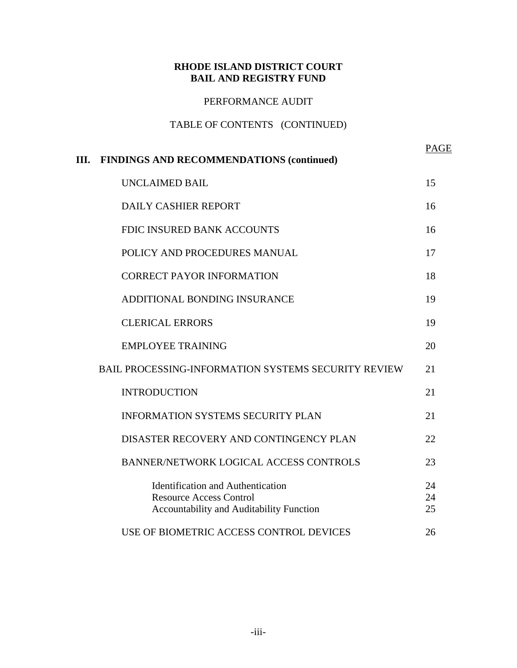## **RHODE ISLAND DISTRICT COURT BAIL AND REGISTRY FUND**

## PERFORMANCE AUDIT

## TABLE OF CONTENTS (CONTINUED)

| III. FINDINGS AND RECOMMENDATIONS (continued)                                                                          | PAGE           |
|------------------------------------------------------------------------------------------------------------------------|----------------|
| <b>UNCLAIMED BAIL</b>                                                                                                  | 15             |
| <b>DAILY CASHIER REPORT</b>                                                                                            | 16             |
| FDIC INSURED BANK ACCOUNTS                                                                                             | 16             |
| POLICY AND PROCEDURES MANUAL                                                                                           | 17             |
| <b>CORRECT PAYOR INFORMATION</b>                                                                                       | 18             |
| ADDITIONAL BONDING INSURANCE                                                                                           | 19             |
| <b>CLERICAL ERRORS</b>                                                                                                 | 19             |
| <b>EMPLOYEE TRAINING</b>                                                                                               | 20             |
| <b>BAIL PROCESSING-INFORMATION SYSTEMS SECURITY REVIEW</b>                                                             | 21             |
| <b>INTRODUCTION</b>                                                                                                    | 21             |
| <b>INFORMATION SYSTEMS SECURITY PLAN</b>                                                                               | 21             |
| DISASTER RECOVERY AND CONTINGENCY PLAN                                                                                 | 22             |
| <b>BANNER/NETWORK LOGICAL ACCESS CONTROLS</b>                                                                          | 23             |
| <b>Identification and Authentication</b><br><b>Resource Access Control</b><br>Accountability and Auditability Function | 24<br>24<br>25 |
| USE OF BIOMETRIC ACCESS CONTROL DEVICES                                                                                | 26             |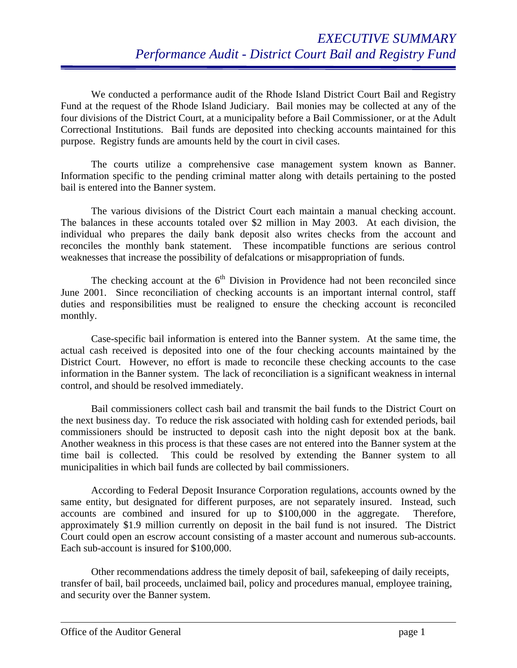We conducted a performance audit of the Rhode Island District Court Bail and Registry Fund at the request of the Rhode Island Judiciary. Bail monies may be collected at any of the four divisions of the District Court, at a municipality before a Bail Commissioner, or at the Adult Correctional Institutions. Bail funds are deposited into checking accounts maintained for this purpose. Registry funds are amounts held by the court in civil cases.

The courts utilize a comprehensive case management system known as Banner. Information specific to the pending criminal matter along with details pertaining to the posted bail is entered into the Banner system.

The various divisions of the District Court each maintain a manual checking account. The balances in these accounts totaled over \$2 million in May 2003. At each division, the individual who prepares the daily bank deposit also writes checks from the account and reconciles the monthly bank statement. These incompatible functions are serious control weaknesses that increase the possibility of defalcations or misappropriation of funds.

The checking account at the  $6<sup>th</sup>$  Division in Providence had not been reconciled since June 2001. Since reconciliation of checking accounts is an important internal control, staff duties and responsibilities must be realigned to ensure the checking account is reconciled monthly.

Case-specific bail information is entered into the Banner system. At the same time, the actual cash received is deposited into one of the four checking accounts maintained by the District Court. However, no effort is made to reconcile these checking accounts to the case information in the Banner system. The lack of reconciliation is a significant weakness in internal control, and should be resolved immediately.

Bail commissioners collect cash bail and transmit the bail funds to the District Court on the next business day. To reduce the risk associated with holding cash for extended periods, bail commissioners should be instructed to deposit cash into the night deposit box at the bank. Another weakness in this process is that these cases are not entered into the Banner system at the time bail is collected. This could be resolved by extending the Banner system to all municipalities in which bail funds are collected by bail commissioners.

According to Federal Deposit Insurance Corporation regulations, accounts owned by the same entity, but designated for different purposes, are not separately insured. Instead, such accounts are combined and insured for up to \$100,000 in the aggregate. Therefore, approximately \$1.9 million currently on deposit in the bail fund is not insured. The District Court could open an escrow account consisting of a master account and numerous sub-accounts. Each sub-account is insured for \$100,000.

Other recommendations address the timely deposit of bail, safekeeping of daily receipts, transfer of bail, bail proceeds, unclaimed bail, policy and procedures manual, employee training, and security over the Banner system.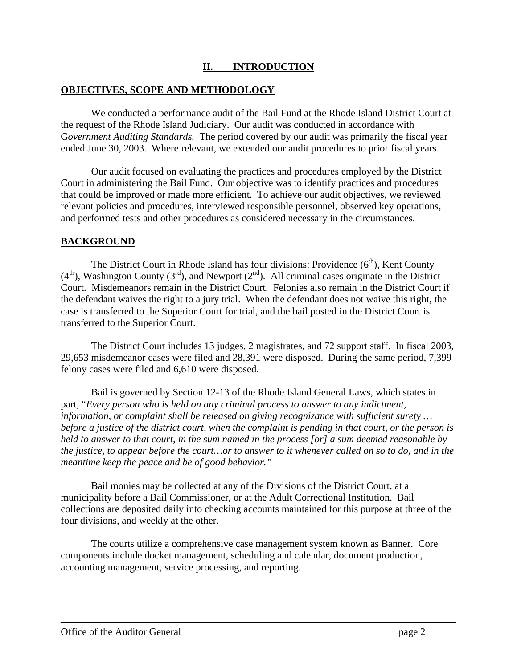## **II. INTRODUCTION**

### **OBJECTIVES, SCOPE AND METHODOLOGY**

We conducted a performance audit of the Bail Fund at the Rhode Island District Court at the request of the Rhode Island Judiciary. Our audit was conducted in accordance with G*overnment Auditing Standards.* The period covered by our audit was primarily the fiscal year ended June 30, 2003. Where relevant, we extended our audit procedures to prior fiscal years.

Our audit focused on evaluating the practices and procedures employed by the District Court in administering the Bail Fund. Our objective was to identify practices and procedures that could be improved or made more efficient. To achieve our audit objectives, we reviewed relevant policies and procedures, interviewed responsible personnel, observed key operations, and performed tests and other procedures as considered necessary in the circumstances.

### **BACKGROUND**

The District Court in Rhode Island has four divisions: Providence  $(6<sup>th</sup>)$ , Kent County  $(4<sup>th</sup>)$ , Washington County  $(3<sup>rd</sup>)$ , and Newport  $(2<sup>nd</sup>)$ . All criminal cases originate in the District Court. Misdemeanors remain in the District Court. Felonies also remain in the District Court if the defendant waives the right to a jury trial. When the defendant does not waive this right, the case is transferred to the Superior Court for trial, and the bail posted in the District Court is transferred to the Superior Court.

The District Court includes 13 judges, 2 magistrates, and 72 support staff. In fiscal 2003, 29,653 misdemeanor cases were filed and 28,391 were disposed. During the same period, 7,399 felony cases were filed and 6,610 were disposed.

Bail is governed by Section 12-13 of the Rhode Island General Laws, which states in part, "*Every person who is held on any criminal process to answer to any indictment, information, or complaint shall be released on giving recognizance with sufficient surety … before a justice of the district court, when the complaint is pending in that court, or the person is held to answer to that court, in the sum named in the process [or] a sum deemed reasonable by the justice, to appear before the court…or to answer to it whenever called on so to do, and in the meantime keep the peace and be of good behavior."* 

Bail monies may be collected at any of the Divisions of the District Court, at a municipality before a Bail Commissioner, or at the Adult Correctional Institution. Bail collections are deposited daily into checking accounts maintained for this purpose at three of the four divisions, and weekly at the other.

The courts utilize a comprehensive case management system known as Banner. Core components include docket management, scheduling and calendar, document production, accounting management, service processing, and reporting.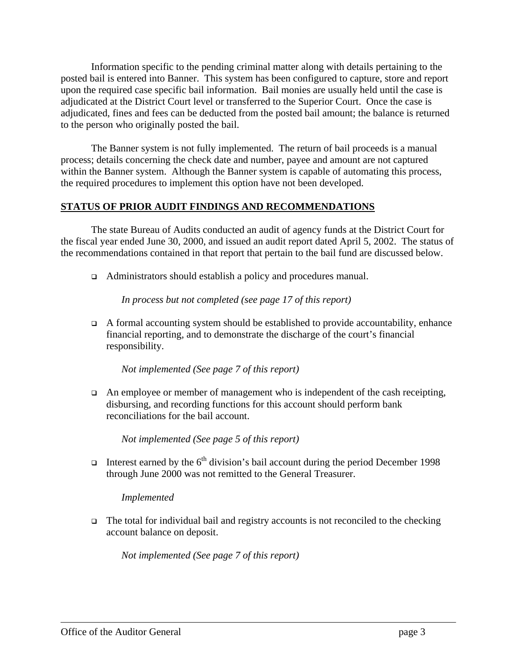Information specific to the pending criminal matter along with details pertaining to the posted bail is entered into Banner. This system has been configured to capture, store and report upon the required case specific bail information. Bail monies are usually held until the case is adjudicated at the District Court level or transferred to the Superior Court. Once the case is adjudicated, fines and fees can be deducted from the posted bail amount; the balance is returned to the person who originally posted the bail.

The Banner system is not fully implemented. The return of bail proceeds is a manual process; details concerning the check date and number, payee and amount are not captured within the Banner system. Although the Banner system is capable of automating this process, the required procedures to implement this option have not been developed.

### **STATUS OF PRIOR AUDIT FINDINGS AND RECOMMENDATIONS**

The state Bureau of Audits conducted an audit of agency funds at the District Court for the fiscal year ended June 30, 2000, and issued an audit report dated April 5, 2002. The status of the recommendations contained in that report that pertain to the bail fund are discussed below.

Administrators should establish a policy and procedures manual.

*In process but not completed (see page 17 of this report)*

 $\Box$  A formal accounting system should be established to provide accountability, enhance financial reporting, and to demonstrate the discharge of the court's financial responsibility.

*Not implemented (See page 7 of this report)*

 $\Box$  An employee or member of management who is independent of the cash receipting, disbursing, and recording functions for this account should perform bank reconciliations for the bail account.

*Not implemented (See page 5 of this report)*

Interest earned by the  $6<sup>th</sup>$  division's bail account during the period December 1998 through June 2000 was not remitted to the General Treasurer.

*Implemented* 

 $\Box$  The total for individual bail and registry accounts is not reconciled to the checking account balance on deposit.

*Not implemented (See page 7 of this report)*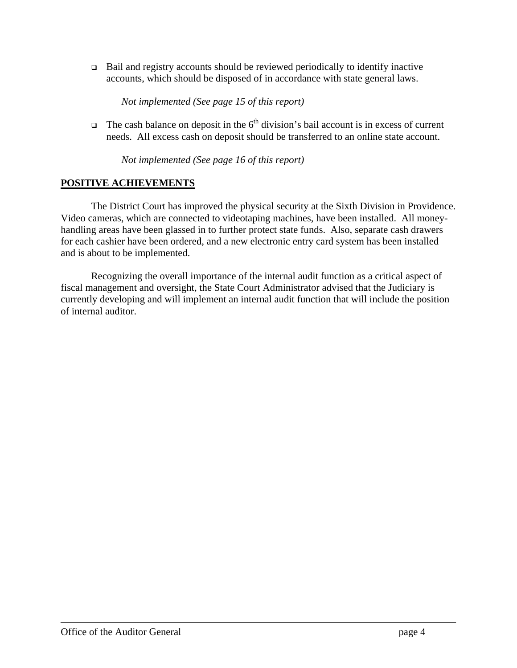Bail and registry accounts should be reviewed periodically to identify inactive accounts, which should be disposed of in accordance with state general laws.

*Not implemented (See page 15 of this report)*

The cash balance on deposit in the  $6<sup>th</sup>$  division's bail account is in excess of current needs. All excess cash on deposit should be transferred to an online state account.

*Not implemented (See page 16 of this report)*

## **POSITIVE ACHIEVEMENTS**

The District Court has improved the physical security at the Sixth Division in Providence. Video cameras, which are connected to videotaping machines, have been installed. All moneyhandling areas have been glassed in to further protect state funds. Also, separate cash drawers for each cashier have been ordered, and a new electronic entry card system has been installed and is about to be implemented.

Recognizing the overall importance of the internal audit function as a critical aspect of fiscal management and oversight, the State Court Administrator advised that the Judiciary is currently developing and will implement an internal audit function that will include the position of internal auditor.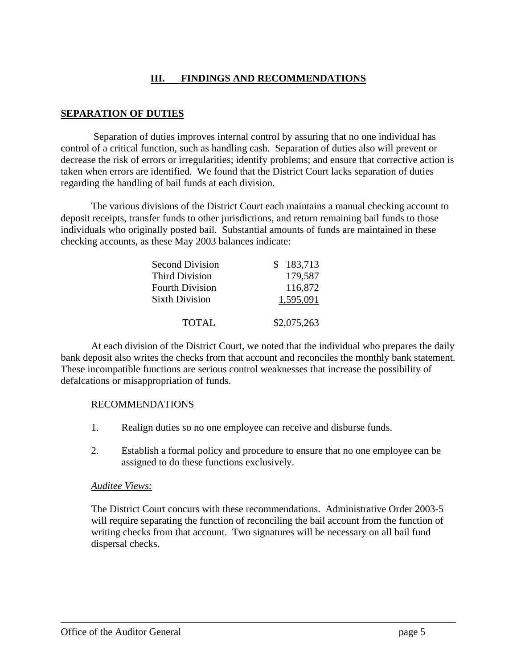## **III. FINDINGS AND RECOMMENDATIONS**

### **SEPARATION OF DUTIES**

 Separation of duties improves internal control by assuring that no one individual has control of a critical function, such as handling cash. Separation of duties also will prevent or decrease the risk of errors or irregularities; identify problems; and ensure that corrective action is taken when errors are identified. We found that the District Court lacks separation of duties regarding the handling of bail funds at each division.

The various divisions of the District Court each maintains a manual checking account to deposit receipts, transfer funds to other jurisdictions, and return remaining bail funds to those individuals who originally posted bail. Substantial amounts of funds are maintained in these checking accounts, as these May 2003 balances indicate:

| <b>Second Division</b> | \$183,713   |
|------------------------|-------------|
| <b>Third Division</b>  | 179,587     |
| <b>Fourth Division</b> | 116,872     |
| <b>Sixth Division</b>  | 1,595,091   |
|                        |             |
| <b>TOTAL</b>           | \$2,075,263 |

At each division of the District Court, we noted that the individual who prepares the daily bank deposit also writes the checks from that account and reconciles the monthly bank statement. These incompatible functions are serious control weaknesses that increase the possibility of defalcations or misappropriation of funds.

### RECOMMENDATIONS

- 1. Realign duties so no one employee can receive and disburse funds.
- 2. Establish a formal policy and procedure to ensure that no one employee can be assigned to do these functions exclusively.

### *Auditee Views:*

The District Court concurs with these recommendations. Administrative Order 2003-5 will require separating the function of reconciling the bail account from the function of writing checks from that account. Two signatures will be necessary on all bail fund dispersal checks.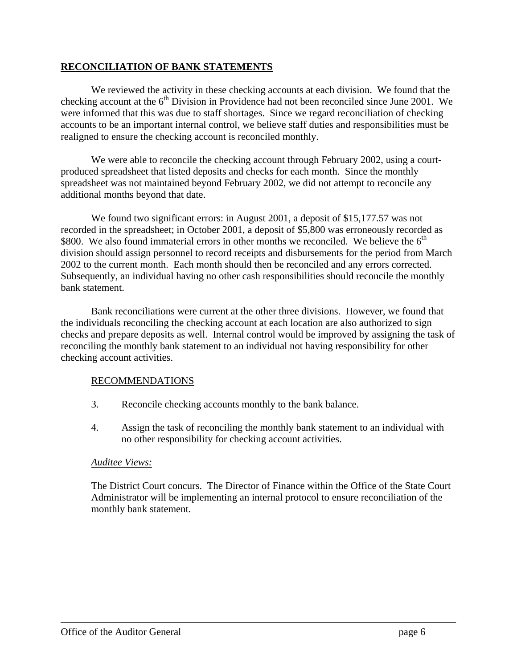## **RECONCILIATION OF BANK STATEMENTS**

We reviewed the activity in these checking accounts at each division. We found that the checking account at the  $6<sup>th</sup>$  Division in Providence had not been reconciled since June 2001. We were informed that this was due to staff shortages. Since we regard reconciliation of checking accounts to be an important internal control, we believe staff duties and responsibilities must be realigned to ensure the checking account is reconciled monthly.

We were able to reconcile the checking account through February 2002, using a courtproduced spreadsheet that listed deposits and checks for each month. Since the monthly spreadsheet was not maintained beyond February 2002, we did not attempt to reconcile any additional months beyond that date.

We found two significant errors: in August 2001, a deposit of \$15,177.57 was not recorded in the spreadsheet; in October 2001, a deposit of \$5,800 was erroneously recorded as \$800. We also found immaterial errors in other months we reconciled. We believe the  $6<sup>th</sup>$ division should assign personnel to record receipts and disbursements for the period from March 2002 to the current month. Each month should then be reconciled and any errors corrected. Subsequently, an individual having no other cash responsibilities should reconcile the monthly bank statement.

Bank reconciliations were current at the other three divisions. However, we found that the individuals reconciling the checking account at each location are also authorized to sign checks and prepare deposits as well. Internal control would be improved by assigning the task of reconciling the monthly bank statement to an individual not having responsibility for other checking account activities.

### RECOMMENDATIONS

- 3. Reconcile checking accounts monthly to the bank balance.
- 4. Assign the task of reconciling the monthly bank statement to an individual with no other responsibility for checking account activities.

### *Auditee Views:*

The District Court concurs. The Director of Finance within the Office of the State Court Administrator will be implementing an internal protocol to ensure reconciliation of the monthly bank statement.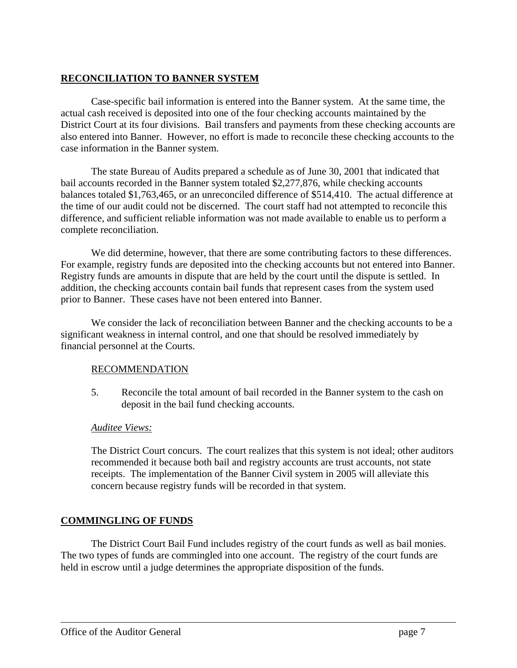## **RECONCILIATION TO BANNER SYSTEM**

Case-specific bail information is entered into the Banner system. At the same time, the actual cash received is deposited into one of the four checking accounts maintained by the District Court at its four divisions. Bail transfers and payments from these checking accounts are also entered into Banner. However, no effort is made to reconcile these checking accounts to the case information in the Banner system.

The state Bureau of Audits prepared a schedule as of June 30, 2001 that indicated that bail accounts recorded in the Banner system totaled \$2,277,876, while checking accounts balances totaled \$1,763,465, or an unreconciled difference of \$514,410. The actual difference at the time of our audit could not be discerned. The court staff had not attempted to reconcile this difference, and sufficient reliable information was not made available to enable us to perform a complete reconciliation.

We did determine, however, that there are some contributing factors to these differences. For example, registry funds are deposited into the checking accounts but not entered into Banner. Registry funds are amounts in dispute that are held by the court until the dispute is settled. In addition, the checking accounts contain bail funds that represent cases from the system used prior to Banner. These cases have not been entered into Banner.

We consider the lack of reconciliation between Banner and the checking accounts to be a significant weakness in internal control, and one that should be resolved immediately by financial personnel at the Courts.

## RECOMMENDATION

5. Reconcile the total amount of bail recorded in the Banner system to the cash on deposit in the bail fund checking accounts.

## *Auditee Views:*

The District Court concurs. The court realizes that this system is not ideal; other auditors recommended it because both bail and registry accounts are trust accounts, not state receipts. The implementation of the Banner Civil system in 2005 will alleviate this concern because registry funds will be recorded in that system.

## **COMMINGLING OF FUNDS**

The District Court Bail Fund includes registry of the court funds as well as bail monies. The two types of funds are commingled into one account. The registry of the court funds are held in escrow until a judge determines the appropriate disposition of the funds.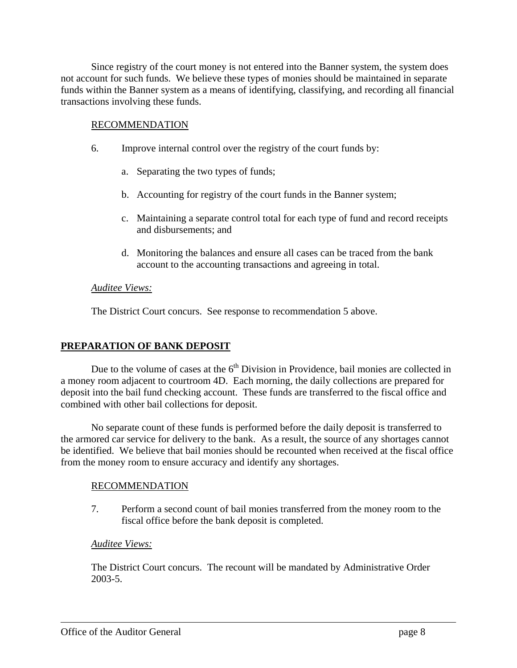Since registry of the court money is not entered into the Banner system, the system does not account for such funds. We believe these types of monies should be maintained in separate funds within the Banner system as a means of identifying, classifying, and recording all financial transactions involving these funds.

### RECOMMENDATION

- 6. Improve internal control over the registry of the court funds by:
	- a. Separating the two types of funds;
	- b. Accounting for registry of the court funds in the Banner system;
	- c. Maintaining a separate control total for each type of fund and record receipts and disbursements; and
	- d. Monitoring the balances and ensure all cases can be traced from the bank account to the accounting transactions and agreeing in total.

### *Auditee Views:*

The District Court concurs. See response to recommendation 5 above.

### **PREPARATION OF BANK DEPOSIT**

Due to the volume of cases at the  $6<sup>th</sup>$  Division in Providence, bail monies are collected in a money room adjacent to courtroom 4D. Each morning, the daily collections are prepared for deposit into the bail fund checking account. These funds are transferred to the fiscal office and combined with other bail collections for deposit.

No separate count of these funds is performed before the daily deposit is transferred to the armored car service for delivery to the bank. As a result, the source of any shortages cannot be identified. We believe that bail monies should be recounted when received at the fiscal office from the money room to ensure accuracy and identify any shortages.

### RECOMMENDATION

7. Perform a second count of bail monies transferred from the money room to the fiscal office before the bank deposit is completed.

### *Auditee Views:*

The District Court concurs. The recount will be mandated by Administrative Order 2003-5.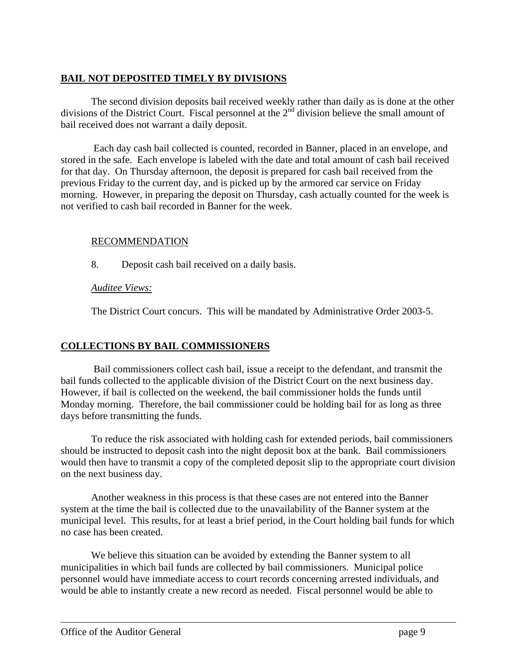## **BAIL NOT DEPOSITED TIMELY BY DIVISIONS**

The second division deposits bail received weekly rather than daily as is done at the other divisions of the District Court. Fiscal personnel at the 2<sup>nd</sup> division believe the small amount of bail received does not warrant a daily deposit.

 Each day cash bail collected is counted, recorded in Banner, placed in an envelope, and stored in the safe. Each envelope is labeled with the date and total amount of cash bail received for that day. On Thursday afternoon, the deposit is prepared for cash bail received from the previous Friday to the current day, and is picked up by the armored car service on Friday morning. However, in preparing the deposit on Thursday, cash actually counted for the week is not verified to cash bail recorded in Banner for the week.

## RECOMMENDATION

8. Deposit cash bail received on a daily basis.

## *Auditee Views:*

The District Court concurs. This will be mandated by Administrative Order 2003-5.

## **COLLECTIONS BY BAIL COMMISSIONERS**

 Bail commissioners collect cash bail, issue a receipt to the defendant, and transmit the bail funds collected to the applicable division of the District Court on the next business day. However, if bail is collected on the weekend, the bail commissioner holds the funds until Monday morning. Therefore, the bail commissioner could be holding bail for as long as three days before transmitting the funds.

To reduce the risk associated with holding cash for extended periods, bail commissioners should be instructed to deposit cash into the night deposit box at the bank. Bail commissioners would then have to transmit a copy of the completed deposit slip to the appropriate court division on the next business day.

Another weakness in this process is that these cases are not entered into the Banner system at the time the bail is collected due to the unavailability of the Banner system at the municipal level. This results, for at least a brief period, in the Court holding bail funds for which no case has been created.

We believe this situation can be avoided by extending the Banner system to all municipalities in which bail funds are collected by bail commissioners. Municipal police personnel would have immediate access to court records concerning arrested individuals, and would be able to instantly create a new record as needed. Fiscal personnel would be able to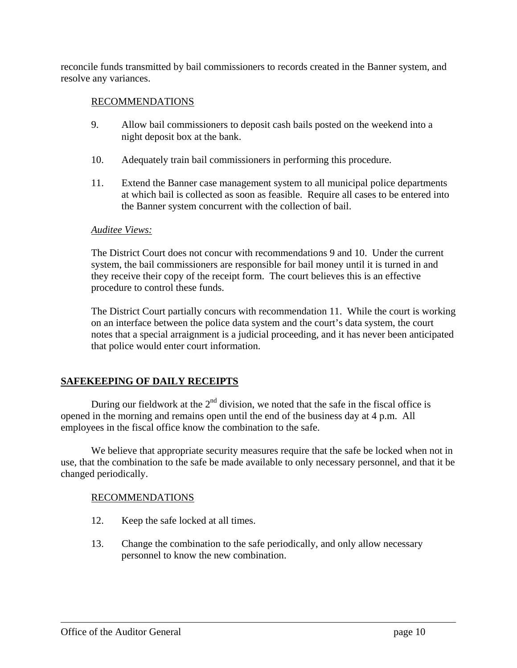reconcile funds transmitted by bail commissioners to records created in the Banner system, and resolve any variances.

## RECOMMENDATIONS

- 9. Allow bail commissioners to deposit cash bails posted on the weekend into a night deposit box at the bank.
- 10. Adequately train bail commissioners in performing this procedure.
- 11. Extend the Banner case management system to all municipal police departments at which bail is collected as soon as feasible. Require all cases to be entered into the Banner system concurrent with the collection of bail.

#### *Auditee Views:*

The District Court does not concur with recommendations 9 and 10. Under the current system, the bail commissioners are responsible for bail money until it is turned in and they receive their copy of the receipt form. The court believes this is an effective procedure to control these funds.

The District Court partially concurs with recommendation 11. While the court is working on an interface between the police data system and the court's data system, the court notes that a special arraignment is a judicial proceeding, and it has never been anticipated that police would enter court information.

## **SAFEKEEPING OF DAILY RECEIPTS**

During our fieldwork at the  $2<sup>nd</sup>$  division, we noted that the safe in the fiscal office is opened in the morning and remains open until the end of the business day at 4 p.m. All employees in the fiscal office know the combination to the safe.

We believe that appropriate security measures require that the safe be locked when not in use, that the combination to the safe be made available to only necessary personnel, and that it be changed periodically.

### RECOMMENDATIONS

- 12. Keep the safe locked at all times.
- 13. Change the combination to the safe periodically, and only allow necessary personnel to know the new combination.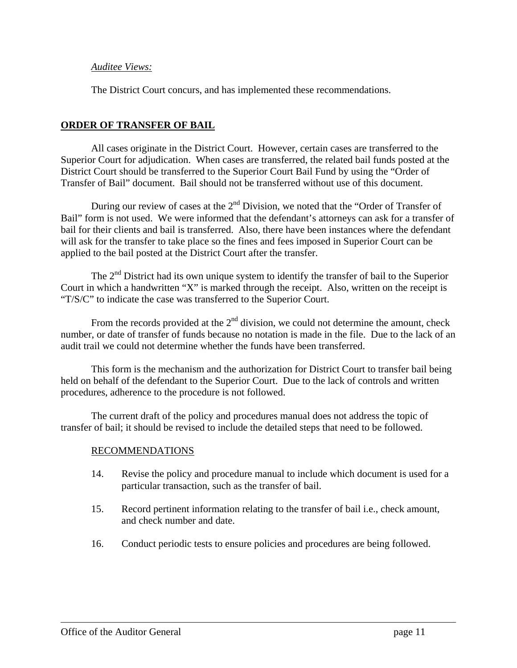### *Auditee Views:*

The District Court concurs, and has implemented these recommendations.

## **ORDER OF TRANSFER OF BAIL**

All cases originate in the District Court. However, certain cases are transferred to the Superior Court for adjudication. When cases are transferred, the related bail funds posted at the District Court should be transferred to the Superior Court Bail Fund by using the "Order of Transfer of Bail" document. Bail should not be transferred without use of this document.

During our review of cases at the  $2<sup>nd</sup>$  Division, we noted that the "Order of Transfer of Bail" form is not used. We were informed that the defendant's attorneys can ask for a transfer of bail for their clients and bail is transferred. Also, there have been instances where the defendant will ask for the transfer to take place so the fines and fees imposed in Superior Court can be applied to the bail posted at the District Court after the transfer.

The  $2<sup>nd</sup>$  District had its own unique system to identify the transfer of bail to the Superior Court in which a handwritten "X" is marked through the receipt. Also, written on the receipt is "T/S/C" to indicate the case was transferred to the Superior Court.

From the records provided at the  $2<sup>nd</sup>$  division, we could not determine the amount, check number, or date of transfer of funds because no notation is made in the file. Due to the lack of an audit trail we could not determine whether the funds have been transferred.

This form is the mechanism and the authorization for District Court to transfer bail being held on behalf of the defendant to the Superior Court. Due to the lack of controls and written procedures, adherence to the procedure is not followed.

The current draft of the policy and procedures manual does not address the topic of transfer of bail; it should be revised to include the detailed steps that need to be followed.

## RECOMMENDATIONS

- 14. Revise the policy and procedure manual to include which document is used for a particular transaction, such as the transfer of bail.
- 15. Record pertinent information relating to the transfer of bail i.e., check amount, and check number and date.
- 16. Conduct periodic tests to ensure policies and procedures are being followed.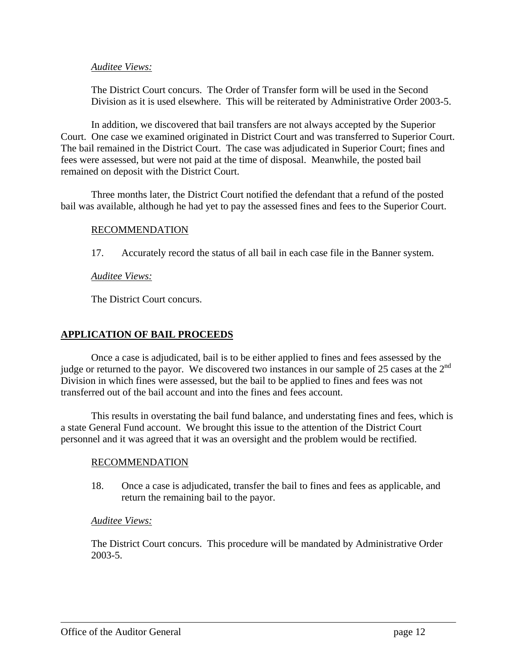### *Auditee Views:*

The District Court concurs. The Order of Transfer form will be used in the Second Division as it is used elsewhere. This will be reiterated by Administrative Order 2003-5.

In addition, we discovered that bail transfers are not always accepted by the Superior Court. One case we examined originated in District Court and was transferred to Superior Court. The bail remained in the District Court. The case was adjudicated in Superior Court; fines and fees were assessed, but were not paid at the time of disposal. Meanwhile, the posted bail remained on deposit with the District Court.

Three months later, the District Court notified the defendant that a refund of the posted bail was available, although he had yet to pay the assessed fines and fees to the Superior Court.

### RECOMMENDATION

17. Accurately record the status of all bail in each case file in the Banner system.

### *Auditee Views:*

The District Court concurs.

### **APPLICATION OF BAIL PROCEEDS**

Once a case is adjudicated, bail is to be either applied to fines and fees assessed by the judge or returned to the payor. We discovered two instances in our sample of 25 cases at the 2<sup>nd</sup> Division in which fines were assessed, but the bail to be applied to fines and fees was not transferred out of the bail account and into the fines and fees account.

This results in overstating the bail fund balance, and understating fines and fees, which is a state General Fund account. We brought this issue to the attention of the District Court personnel and it was agreed that it was an oversight and the problem would be rectified.

### RECOMMENDATION

18. Once a case is adjudicated, transfer the bail to fines and fees as applicable, and return the remaining bail to the payor.

### *Auditee Views:*

The District Court concurs. This procedure will be mandated by Administrative Order 2003-5.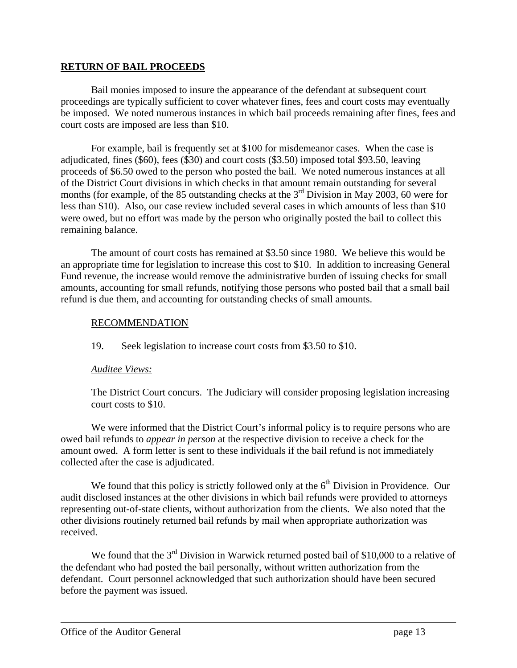### **RETURN OF BAIL PROCEEDS**

Bail monies imposed to insure the appearance of the defendant at subsequent court proceedings are typically sufficient to cover whatever fines, fees and court costs may eventually be imposed. We noted numerous instances in which bail proceeds remaining after fines, fees and court costs are imposed are less than \$10.

For example, bail is frequently set at \$100 for misdemeanor cases. When the case is adjudicated, fines (\$60), fees (\$30) and court costs (\$3.50) imposed total \$93.50, leaving proceeds of \$6.50 owed to the person who posted the bail. We noted numerous instances at all of the District Court divisions in which checks in that amount remain outstanding for several months (for example, of the 85 outstanding checks at the  $3<sup>rd</sup>$  Division in May 2003, 60 were for less than \$10). Also, our case review included several cases in which amounts of less than \$10 were owed, but no effort was made by the person who originally posted the bail to collect this remaining balance.

The amount of court costs has remained at \$3.50 since 1980. We believe this would be an appropriate time for legislation to increase this cost to \$10. In addition to increasing General Fund revenue, the increase would remove the administrative burden of issuing checks for small amounts, accounting for small refunds, notifying those persons who posted bail that a small bail refund is due them, and accounting for outstanding checks of small amounts.

### RECOMMENDATION

19. Seek legislation to increase court costs from \$3.50 to \$10.

## *Auditee Views:*

The District Court concurs. The Judiciary will consider proposing legislation increasing court costs to \$10.

We were informed that the District Court's informal policy is to require persons who are owed bail refunds to *appear in person* at the respective division to receive a check for the amount owed. A form letter is sent to these individuals if the bail refund is not immediately collected after the case is adjudicated.

We found that this policy is strictly followed only at the  $6<sup>th</sup>$  Division in Providence. Our audit disclosed instances at the other divisions in which bail refunds were provided to attorneys representing out-of-state clients, without authorization from the clients. We also noted that the other divisions routinely returned bail refunds by mail when appropriate authorization was received.

We found that the 3<sup>rd</sup> Division in Warwick returned posted bail of \$10,000 to a relative of the defendant who had posted the bail personally, without written authorization from the defendant. Court personnel acknowledged that such authorization should have been secured before the payment was issued.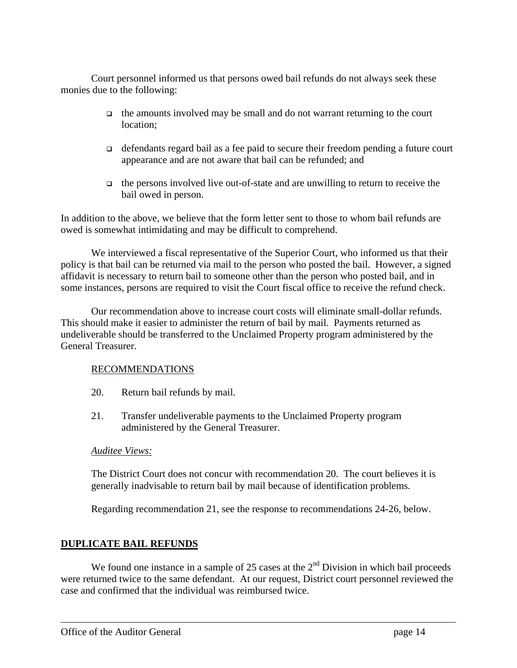Court personnel informed us that persons owed bail refunds do not always seek these monies due to the following:

- the amounts involved may be small and do not warrant returning to the court location;
- defendants regard bail as a fee paid to secure their freedom pending a future court appearance and are not aware that bail can be refunded; and
- $\Box$  the persons involved live out-of-state and are unwilling to return to receive the bail owed in person.

In addition to the above, we believe that the form letter sent to those to whom bail refunds are owed is somewhat intimidating and may be difficult to comprehend.

We interviewed a fiscal representative of the Superior Court, who informed us that their policy is that bail can be returned via mail to the person who posted the bail. However, a signed affidavit is necessary to return bail to someone other than the person who posted bail, and in some instances, persons are required to visit the Court fiscal office to receive the refund check.

Our recommendation above to increase court costs will eliminate small-dollar refunds. This should make it easier to administer the return of bail by mail. Payments returned as undeliverable should be transferred to the Unclaimed Property program administered by the General Treasurer.

## RECOMMENDATIONS

- 20. Return bail refunds by mail.
- 21. Transfer undeliverable payments to the Unclaimed Property program administered by the General Treasurer.

### *Auditee Views:*

The District Court does not concur with recommendation 20. The court believes it is generally inadvisable to return bail by mail because of identification problems.

Regarding recommendation 21, see the response to recommendations 24-26, below.

## **DUPLICATE BAIL REFUNDS**

We found one instance in a sample of 25 cases at the  $2<sup>nd</sup>$  Division in which bail proceeds were returned twice to the same defendant. At our request, District court personnel reviewed the case and confirmed that the individual was reimbursed twice.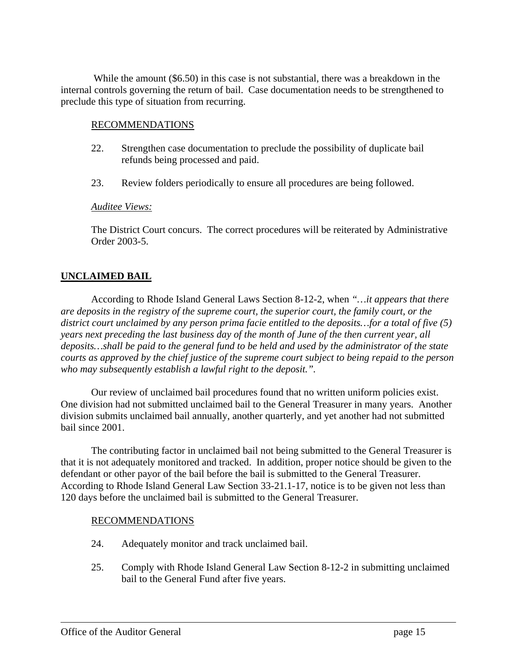While the amount (\$6.50) in this case is not substantial, there was a breakdown in the internal controls governing the return of bail. Case documentation needs to be strengthened to preclude this type of situation from recurring.

### RECOMMENDATIONS

- 22. Strengthen case documentation to preclude the possibility of duplicate bail refunds being processed and paid.
- 23. Review folders periodically to ensure all procedures are being followed.

### *Auditee Views:*

The District Court concurs. The correct procedures will be reiterated by Administrative Order 2003-5.

## **UNCLAIMED BAIL**

According to Rhode Island General Laws Section 8-12-2, when *"…it appears that there are deposits in the registry of the supreme court, the superior court, the family court, or the district court unclaimed by any person prima facie entitled to the deposits…for a total of five (5) years next preceding the last business day of the month of June of the then current year, all deposits…shall be paid to the general fund to be held and used by the administrator of the state courts as approved by the chief justice of the supreme court subject to being repaid to the person who may subsequently establish a lawful right to the deposit.".* 

Our review of unclaimed bail procedures found that no written uniform policies exist. One division had not submitted unclaimed bail to the General Treasurer in many years. Another division submits unclaimed bail annually, another quarterly, and yet another had not submitted bail since 2001.

The contributing factor in unclaimed bail not being submitted to the General Treasurer is that it is not adequately monitored and tracked. In addition, proper notice should be given to the defendant or other payor of the bail before the bail is submitted to the General Treasurer. According to Rhode Island General Law Section 33-21.1-17, notice is to be given not less than 120 days before the unclaimed bail is submitted to the General Treasurer.

### RECOMMENDATIONS

- 24. Adequately monitor and track unclaimed bail.
- 25. Comply with Rhode Island General Law Section 8-12-2 in submitting unclaimed bail to the General Fund after five years.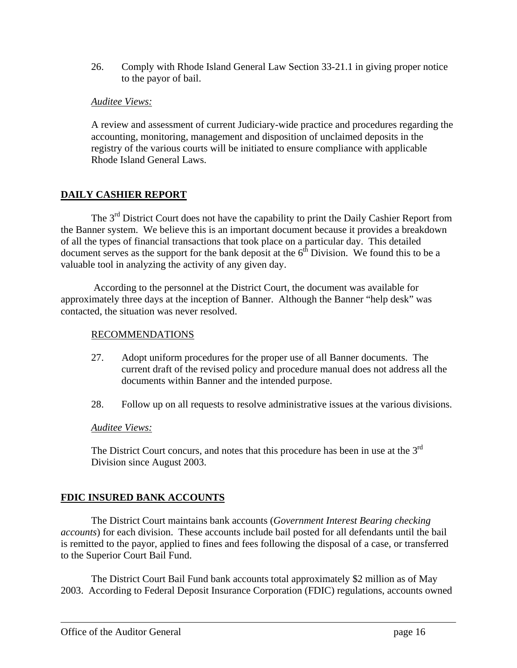26. Comply with Rhode Island General Law Section 33-21.1 in giving proper notice to the payor of bail.

### *Auditee Views:*

A review and assessment of current Judiciary-wide practice and procedures regarding the accounting, monitoring, management and disposition of unclaimed deposits in the registry of the various courts will be initiated to ensure compliance with applicable Rhode Island General Laws.

## **DAILY CASHIER REPORT**

The  $3<sup>rd</sup>$  District Court does not have the capability to print the Daily Cashier Report from the Banner system. We believe this is an important document because it provides a breakdown of all the types of financial transactions that took place on a particular day. This detailed document serves as the support for the bank deposit at the  $6<sup>th</sup>$  Division. We found this to be a valuable tool in analyzing the activity of any given day.

 According to the personnel at the District Court, the document was available for approximately three days at the inception of Banner. Although the Banner "help desk" was contacted, the situation was never resolved.

### RECOMMENDATIONS

- 27. Adopt uniform procedures for the proper use of all Banner documents. The current draft of the revised policy and procedure manual does not address all the documents within Banner and the intended purpose.
- 28. Follow up on all requests to resolve administrative issues at the various divisions.

### *Auditee Views:*

The District Court concurs, and notes that this procedure has been in use at the  $3<sup>rd</sup>$ Division since August 2003.

## **FDIC INSURED BANK ACCOUNTS**

The District Court maintains bank accounts (*Government Interest Bearing checking accounts*) for each division. These accounts include bail posted for all defendants until the bail is remitted to the payor, applied to fines and fees following the disposal of a case, or transferred to the Superior Court Bail Fund.

The District Court Bail Fund bank accounts total approximately \$2 million as of May 2003. According to Federal Deposit Insurance Corporation (FDIC) regulations, accounts owned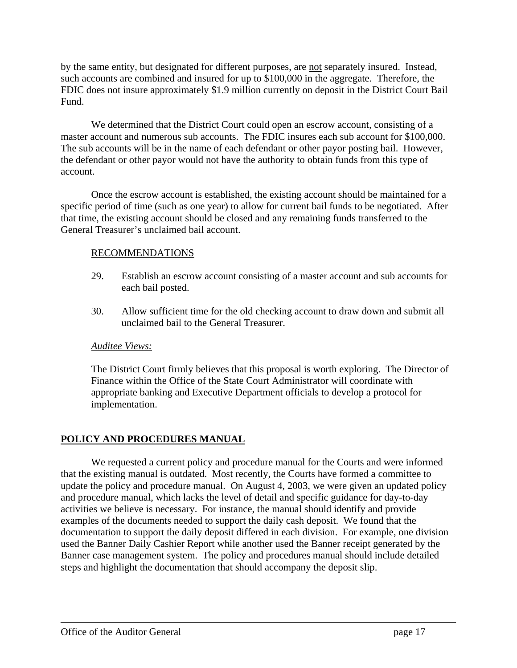by the same entity, but designated for different purposes, are not separately insured. Instead, such accounts are combined and insured for up to \$100,000 in the aggregate. Therefore, the FDIC does not insure approximately \$1.9 million currently on deposit in the District Court Bail Fund.

We determined that the District Court could open an escrow account, consisting of a master account and numerous sub accounts. The FDIC insures each sub account for \$100,000. The sub accounts will be in the name of each defendant or other payor posting bail. However, the defendant or other payor would not have the authority to obtain funds from this type of account.

Once the escrow account is established, the existing account should be maintained for a specific period of time (such as one year) to allow for current bail funds to be negotiated. After that time, the existing account should be closed and any remaining funds transferred to the General Treasurer's unclaimed bail account.

## RECOMMENDATIONS

- 29. Establish an escrow account consisting of a master account and sub accounts for each bail posted.
- 30. Allow sufficient time for the old checking account to draw down and submit all unclaimed bail to the General Treasurer.

## *Auditee Views:*

The District Court firmly believes that this proposal is worth exploring. The Director of Finance within the Office of the State Court Administrator will coordinate with appropriate banking and Executive Department officials to develop a protocol for implementation.

## **POLICY AND PROCEDURES MANUAL**

We requested a current policy and procedure manual for the Courts and were informed that the existing manual is outdated. Most recently, the Courts have formed a committee to update the policy and procedure manual. On August 4, 2003, we were given an updated policy and procedure manual, which lacks the level of detail and specific guidance for day-to-day activities we believe is necessary. For instance, the manual should identify and provide examples of the documents needed to support the daily cash deposit. We found that the documentation to support the daily deposit differed in each division. For example, one division used the Banner Daily Cashier Report while another used the Banner receipt generated by the Banner case management system. The policy and procedures manual should include detailed steps and highlight the documentation that should accompany the deposit slip.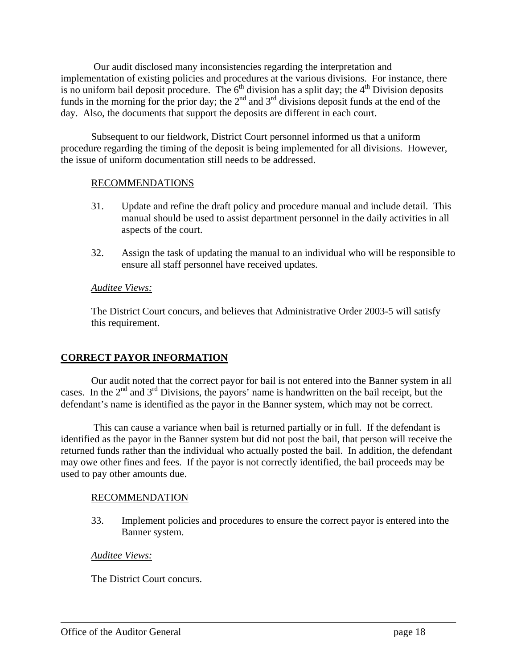Our audit disclosed many inconsistencies regarding the interpretation and implementation of existing policies and procedures at the various divisions. For instance, there is no uniform bail deposit procedure. The  $6<sup>th</sup>$  division has a split day; the  $4<sup>th</sup>$  Division deposits funds in the morning for the prior day; the  $2<sup>nd</sup>$  and  $3<sup>rd</sup>$  divisions deposit funds at the end of the day. Also, the documents that support the deposits are different in each court.

Subsequent to our fieldwork, District Court personnel informed us that a uniform procedure regarding the timing of the deposit is being implemented for all divisions. However, the issue of uniform documentation still needs to be addressed.

## RECOMMENDATIONS

- 31. Update and refine the draft policy and procedure manual and include detail. This manual should be used to assist department personnel in the daily activities in all aspects of the court.
- 32. Assign the task of updating the manual to an individual who will be responsible to ensure all staff personnel have received updates.

### *Auditee Views:*

The District Court concurs, and believes that Administrative Order 2003-5 will satisfy this requirement.

## **CORRECT PAYOR INFORMATION**

Our audit noted that the correct payor for bail is not entered into the Banner system in all cases. In the  $2<sup>nd</sup>$  and  $3<sup>rd</sup>$  Divisions, the payors' name is handwritten on the bail receipt, but the defendant's name is identified as the payor in the Banner system, which may not be correct.

 This can cause a variance when bail is returned partially or in full. If the defendant is identified as the payor in the Banner system but did not post the bail, that person will receive the returned funds rather than the individual who actually posted the bail. In addition, the defendant may owe other fines and fees. If the payor is not correctly identified, the bail proceeds may be used to pay other amounts due.

## RECOMMENDATION

33. Implement policies and procedures to ensure the correct payor is entered into the Banner system.

## *Auditee Views:*

The District Court concurs.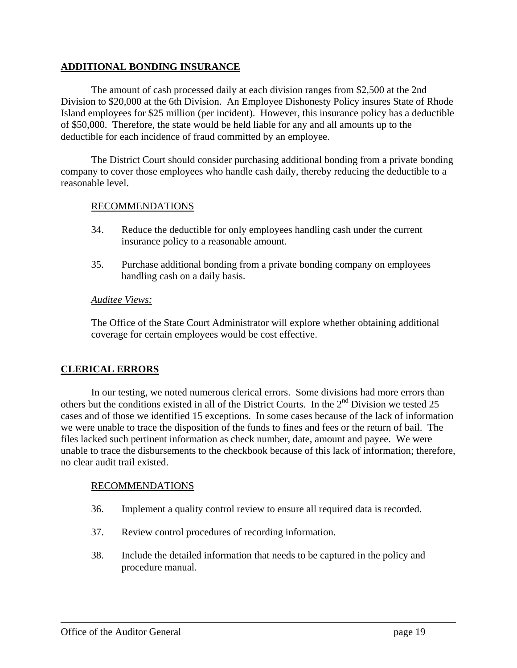### **ADDITIONAL BONDING INSURANCE**

The amount of cash processed daily at each division ranges from \$2,500 at the 2nd Division to \$20,000 at the 6th Division. An Employee Dishonesty Policy insures State of Rhode Island employees for \$25 million (per incident). However, this insurance policy has a deductible of \$50,000. Therefore, the state would be held liable for any and all amounts up to the deductible for each incidence of fraud committed by an employee.

The District Court should consider purchasing additional bonding from a private bonding company to cover those employees who handle cash daily, thereby reducing the deductible to a reasonable level.

### RECOMMENDATIONS

- 34. Reduce the deductible for only employees handling cash under the current insurance policy to a reasonable amount.
- 35. Purchase additional bonding from a private bonding company on employees handling cash on a daily basis.

### *Auditee Views:*

The Office of the State Court Administrator will explore whether obtaining additional coverage for certain employees would be cost effective.

## **CLERICAL ERRORS**

In our testing, we noted numerous clerical errors. Some divisions had more errors than others but the conditions existed in all of the District Courts. In the 2nd Division we tested 25 cases and of those we identified 15 exceptions. In some cases because of the lack of information we were unable to trace the disposition of the funds to fines and fees or the return of bail. The files lacked such pertinent information as check number, date, amount and payee. We were unable to trace the disbursements to the checkbook because of this lack of information; therefore, no clear audit trail existed.

### RECOMMENDATIONS

- 36. Implement a quality control review to ensure all required data is recorded.
- 37. Review control procedures of recording information.
- 38. Include the detailed information that needs to be captured in the policy and procedure manual.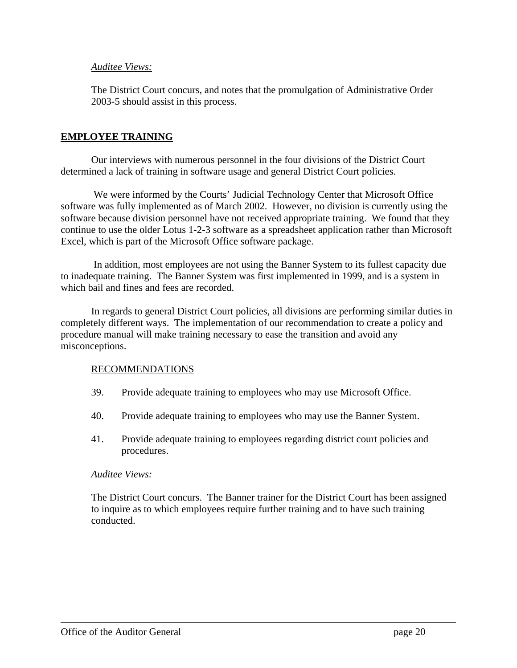### *Auditee Views:*

The District Court concurs, and notes that the promulgation of Administrative Order 2003-5 should assist in this process.

### **EMPLOYEE TRAINING**

Our interviews with numerous personnel in the four divisions of the District Court determined a lack of training in software usage and general District Court policies.

 We were informed by the Courts' Judicial Technology Center that Microsoft Office software was fully implemented as of March 2002. However, no division is currently using the software because division personnel have not received appropriate training. We found that they continue to use the older Lotus 1-2-3 software as a spreadsheet application rather than Microsoft Excel, which is part of the Microsoft Office software package.

 In addition, most employees are not using the Banner System to its fullest capacity due to inadequate training. The Banner System was first implemented in 1999, and is a system in which bail and fines and fees are recorded.

In regards to general District Court policies, all divisions are performing similar duties in completely different ways. The implementation of our recommendation to create a policy and procedure manual will make training necessary to ease the transition and avoid any misconceptions.

### RECOMMENDATIONS

- 39. Provide adequate training to employees who may use Microsoft Office.
- 40. Provide adequate training to employees who may use the Banner System.
- 41. Provide adequate training to employees regarding district court policies and procedures.

### *Auditee Views:*

The District Court concurs. The Banner trainer for the District Court has been assigned to inquire as to which employees require further training and to have such training conducted.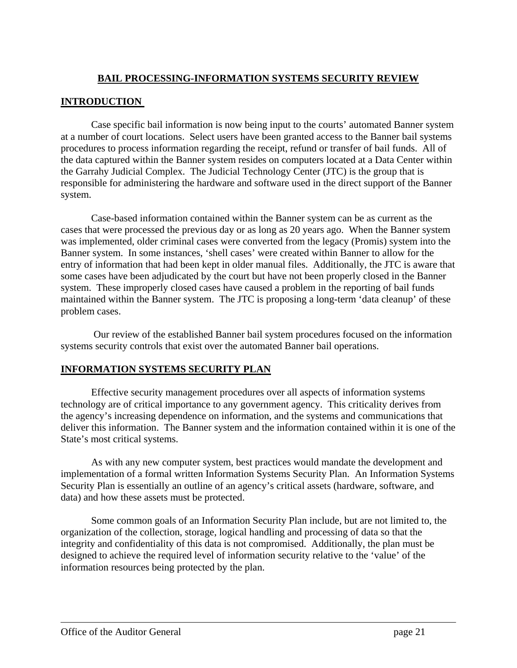## **BAIL PROCESSING-INFORMATION SYSTEMS SECURITY REVIEW**

## **INTRODUCTION**

Case specific bail information is now being input to the courts' automated Banner system at a number of court locations. Select users have been granted access to the Banner bail systems procedures to process information regarding the receipt, refund or transfer of bail funds. All of the data captured within the Banner system resides on computers located at a Data Center within the Garrahy Judicial Complex. The Judicial Technology Center (JTC) is the group that is responsible for administering the hardware and software used in the direct support of the Banner system.

Case-based information contained within the Banner system can be as current as the cases that were processed the previous day or as long as 20 years ago. When the Banner system was implemented, older criminal cases were converted from the legacy (Promis) system into the Banner system. In some instances, 'shell cases' were created within Banner to allow for the entry of information that had been kept in older manual files. Additionally, the JTC is aware that some cases have been adjudicated by the court but have not been properly closed in the Banner system. These improperly closed cases have caused a problem in the reporting of bail funds maintained within the Banner system. The JTC is proposing a long-term 'data cleanup' of these problem cases.

 Our review of the established Banner bail system procedures focused on the information systems security controls that exist over the automated Banner bail operations.

## **INFORMATION SYSTEMS SECURITY PLAN**

Effective security management procedures over all aspects of information systems technology are of critical importance to any government agency. This criticality derives from the agency's increasing dependence on information, and the systems and communications that deliver this information. The Banner system and the information contained within it is one of the State's most critical systems.

As with any new computer system, best practices would mandate the development and implementation of a formal written Information Systems Security Plan. An Information Systems Security Plan is essentially an outline of an agency's critical assets (hardware, software, and data) and how these assets must be protected.

Some common goals of an Information Security Plan include, but are not limited to, the organization of the collection, storage, logical handling and processing of data so that the integrity and confidentiality of this data is not compromised. Additionally, the plan must be designed to achieve the required level of information security relative to the 'value' of the information resources being protected by the plan.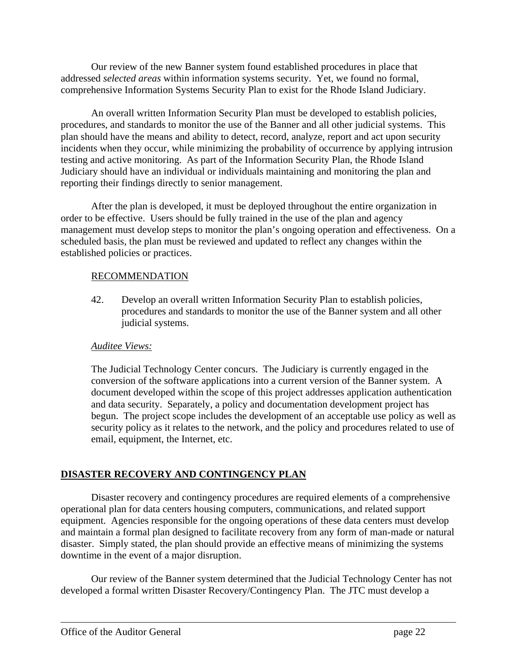Our review of the new Banner system found established procedures in place that addressed *selected areas* within information systems security. Yet, we found no formal, comprehensive Information Systems Security Plan to exist for the Rhode Island Judiciary.

An overall written Information Security Plan must be developed to establish policies, procedures, and standards to monitor the use of the Banner and all other judicial systems. This plan should have the means and ability to detect, record, analyze, report and act upon security incidents when they occur, while minimizing the probability of occurrence by applying intrusion testing and active monitoring. As part of the Information Security Plan, the Rhode Island Judiciary should have an individual or individuals maintaining and monitoring the plan and reporting their findings directly to senior management.

After the plan is developed, it must be deployed throughout the entire organization in order to be effective. Users should be fully trained in the use of the plan and agency management must develop steps to monitor the plan's ongoing operation and effectiveness. On a scheduled basis, the plan must be reviewed and updated to reflect any changes within the established policies or practices.

## RECOMMENDATION

42. Develop an overall written Information Security Plan to establish policies, procedures and standards to monitor the use of the Banner system and all other judicial systems.

## *Auditee Views:*

The Judicial Technology Center concurs. The Judiciary is currently engaged in the conversion of the software applications into a current version of the Banner system. A document developed within the scope of this project addresses application authentication and data security. Separately, a policy and documentation development project has begun. The project scope includes the development of an acceptable use policy as well as security policy as it relates to the network, and the policy and procedures related to use of email, equipment, the Internet, etc.

## **DISASTER RECOVERY AND CONTINGENCY PLAN**

Disaster recovery and contingency procedures are required elements of a comprehensive operational plan for data centers housing computers, communications, and related support equipment. Agencies responsible for the ongoing operations of these data centers must develop and maintain a formal plan designed to facilitate recovery from any form of man-made or natural disaster. Simply stated, the plan should provide an effective means of minimizing the systems downtime in the event of a major disruption.

Our review of the Banner system determined that the Judicial Technology Center has not developed a formal written Disaster Recovery/Contingency Plan. The JTC must develop a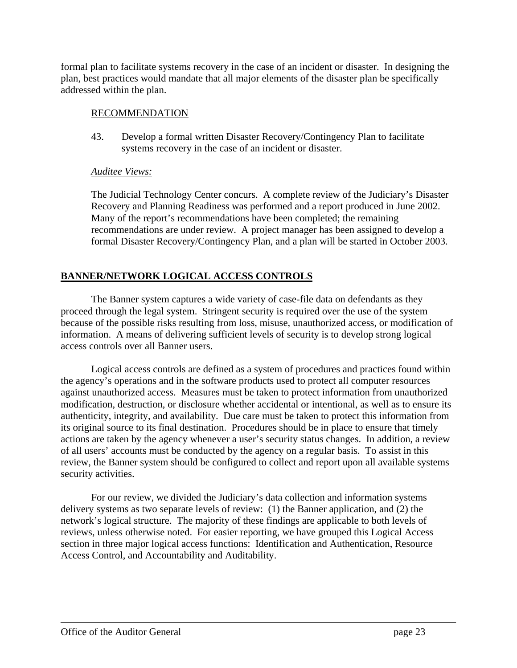formal plan to facilitate systems recovery in the case of an incident or disaster. In designing the plan, best practices would mandate that all major elements of the disaster plan be specifically addressed within the plan.

### RECOMMENDATION

43. Develop a formal written Disaster Recovery/Contingency Plan to facilitate systems recovery in the case of an incident or disaster.

## *Auditee Views:*

The Judicial Technology Center concurs. A complete review of the Judiciary's Disaster Recovery and Planning Readiness was performed and a report produced in June 2002. Many of the report's recommendations have been completed; the remaining recommendations are under review. A project manager has been assigned to develop a formal Disaster Recovery/Contingency Plan, and a plan will be started in October 2003.

## **BANNER/NETWORK LOGICAL ACCESS CONTROLS**

The Banner system captures a wide variety of case-file data on defendants as they proceed through the legal system. Stringent security is required over the use of the system because of the possible risks resulting from loss, misuse, unauthorized access, or modification of information. A means of delivering sufficient levels of security is to develop strong logical access controls over all Banner users.

Logical access controls are defined as a system of procedures and practices found within the agency's operations and in the software products used to protect all computer resources against unauthorized access. Measures must be taken to protect information from unauthorized modification, destruction, or disclosure whether accidental or intentional, as well as to ensure its authenticity, integrity, and availability. Due care must be taken to protect this information from its original source to its final destination. Procedures should be in place to ensure that timely actions are taken by the agency whenever a user's security status changes. In addition, a review of all users' accounts must be conducted by the agency on a regular basis. To assist in this review, the Banner system should be configured to collect and report upon all available systems security activities.

For our review, we divided the Judiciary's data collection and information systems delivery systems as two separate levels of review: (1) the Banner application, and (2) the network's logical structure. The majority of these findings are applicable to both levels of reviews, unless otherwise noted. For easier reporting, we have grouped this Logical Access section in three major logical access functions: Identification and Authentication, Resource Access Control, and Accountability and Auditability.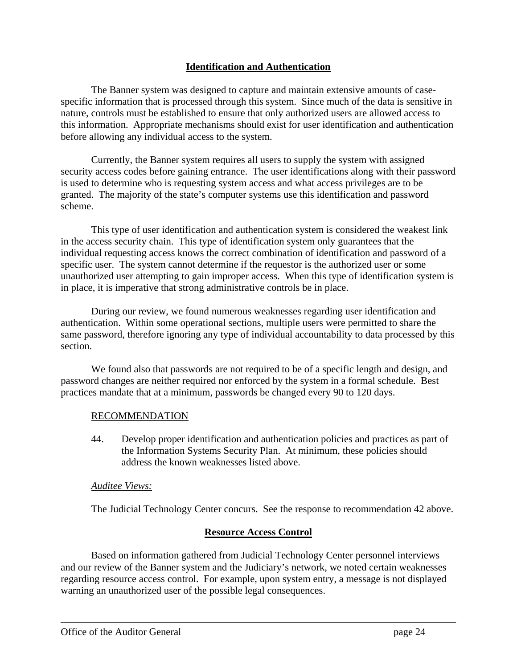## **Identification and Authentication**

The Banner system was designed to capture and maintain extensive amounts of casespecific information that is processed through this system. Since much of the data is sensitive in nature, controls must be established to ensure that only authorized users are allowed access to this information. Appropriate mechanisms should exist for user identification and authentication before allowing any individual access to the system.

Currently, the Banner system requires all users to supply the system with assigned security access codes before gaining entrance. The user identifications along with their password is used to determine who is requesting system access and what access privileges are to be granted. The majority of the state's computer systems use this identification and password scheme.

This type of user identification and authentication system is considered the weakest link in the access security chain. This type of identification system only guarantees that the individual requesting access knows the correct combination of identification and password of a specific user. The system cannot determine if the requestor is the authorized user or some unauthorized user attempting to gain improper access. When this type of identification system is in place, it is imperative that strong administrative controls be in place.

During our review, we found numerous weaknesses regarding user identification and authentication. Within some operational sections, multiple users were permitted to share the same password, therefore ignoring any type of individual accountability to data processed by this section.

We found also that passwords are not required to be of a specific length and design, and password changes are neither required nor enforced by the system in a formal schedule. Best practices mandate that at a minimum, passwords be changed every 90 to 120 days.

### RECOMMENDATION

44. Develop proper identification and authentication policies and practices as part of the Information Systems Security Plan. At minimum, these policies should address the known weaknesses listed above.

### *Auditee Views:*

The Judicial Technology Center concurs. See the response to recommendation 42 above.

### **Resource Access Control**

Based on information gathered from Judicial Technology Center personnel interviews and our review of the Banner system and the Judiciary's network, we noted certain weaknesses regarding resource access control. For example, upon system entry, a message is not displayed warning an unauthorized user of the possible legal consequences.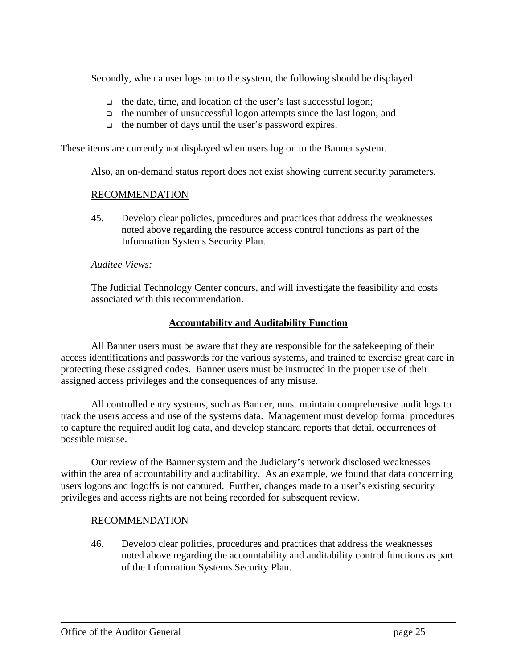Secondly, when a user logs on to the system, the following should be displayed:

- $\Box$  the date, time, and location of the user's last successful logon;
- $\Box$  the number of unsuccessful logon attempts since the last logon; and
- $\Box$  the number of days until the user's password expires.

These items are currently not displayed when users log on to the Banner system.

Also, an on-demand status report does not exist showing current security parameters.

### RECOMMENDATION

45. Develop clear policies, procedures and practices that address the weaknesses noted above regarding the resource access control functions as part of the Information Systems Security Plan.

### *Auditee Views:*

The Judicial Technology Center concurs, and will investigate the feasibility and costs associated with this recommendation.

### **Accountability and Auditability Function**

All Banner users must be aware that they are responsible for the safekeeping of their access identifications and passwords for the various systems, and trained to exercise great care in protecting these assigned codes. Banner users must be instructed in the proper use of their assigned access privileges and the consequences of any misuse.

All controlled entry systems, such as Banner, must maintain comprehensive audit logs to track the users access and use of the systems data. Management must develop formal procedures to capture the required audit log data, and develop standard reports that detail occurrences of possible misuse.

Our review of the Banner system and the Judiciary's network disclosed weaknesses within the area of accountability and auditability. As an example, we found that data concerning users logons and logoffs is not captured. Further, changes made to a user's existing security privileges and access rights are not being recorded for subsequent review.

## RECOMMENDATION

46. Develop clear policies, procedures and practices that address the weaknesses noted above regarding the accountability and auditability control functions as part of the Information Systems Security Plan.